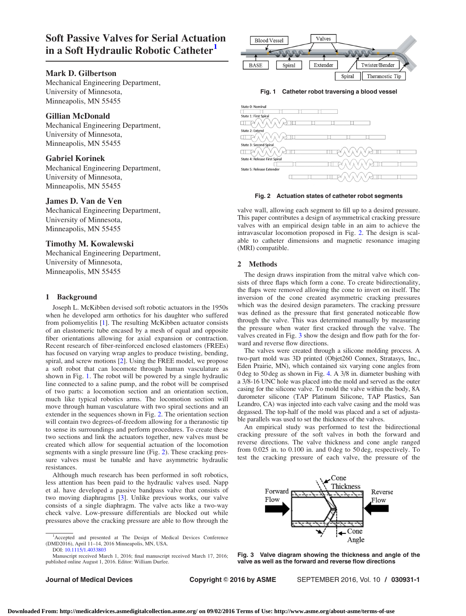# <span id="page-0-0"></span>Soft Passive Valves for Serial Actuation in a Soft Hydraulic Robotic Catheter<sup>1</sup>

# Mark D. Gilbertson

Mechanical Engineering Department, University of Minnesota, Minneapolis, MN 55455

# Gillian McDonald

Mechanical Engineering Department, University of Minnesota, Minneapolis, MN 55455

# Gabriel Korinek

Mechanical Engineering Department, University of Minnesota, Minneapolis, MN 55455

#### James D. Van de Ven

Mechanical Engineering Department, University of Minnesota, Minneapolis, MN 55455

# Timothy M. Kowalewski

Mechanical Engineering Department, University of Minnesota, Minneapolis, MN 55455

## 1 Background

Joseph L. McKibben devised soft robotic actuators in the 1950s when he developed arm orthotics for his daughter who suffered from poliomyelitis [\[1\]](#page-1-0). The resulting McKibben actuator consists of an elastomeric tube encased by a mesh of equal and opposite fiber orientations allowing for axial expansion or contraction. Recent research of fiber-reinforced enclosed elastomers (FREEs) has focused on varying wrap angles to produce twisting, bending, spiral, and screw motions [[2](#page-1-0)]. Using the FREE model, we propose a soft robot that can locomote through human vasculature as shown in Fig. 1. The robot will be powered by a single hydraulic line connected to a saline pump, and the robot will be comprised of two parts: a locomotion section and an orientation section, much like typical robotics arms. The locomotion section will move through human vasculature with two spiral sections and an extender in the sequences shown in Fig. 2. The orientation section will contain two degrees-of-freedom allowing for a theranostic tip to sense its surroundings and perform procedures. To create these two sections and link the actuators together, new valves must be created which allow for sequential actuation of the locomotion segments with a single pressure line (Fig. 2). These cracking pressure valves must be tunable and have asymmetric hydraulic resistances.

Although much research has been performed in soft robotics, less attention has been paid to the hydraulic valves used. Napp et al. have developed a passive bandpass valve that consists of two moving diaphragms [\[3\]](#page-1-0). Unlike previous works, our valve consists of a single diaphragm. The valve acts like a two-way check valve. Low-pressure differentials are blocked out while pressures above the cracking pressure are able to flow through the

Manuscript received March 1, 2016; final manuscript received March 17, 2016; published online August 1, 2016. Editor: William Durfee.



Fig. 1 Catheter robot traversing a blood vessel



#### Fig. 2 Actuation states of catheter robot segments

valve wall, allowing each segment to fill up to a desired pressure. This paper contributes a design of asymmetrical cracking pressure valves with an empirical design table in an aim to achieve the intravascular locomotion proposed in Fig. 2. The design is scalable to catheter dimensions and magnetic resonance imaging (MRI) compatible.

#### 2 Methods

The design draws inspiration from the mitral valve which consists of three flaps which form a cone. To create bidirectionality, the flaps were removed allowing the cone to invert on itself. The inversion of the cone created asymmetric cracking pressures which was the desired design parameters. The cracking pressure was defined as the pressure that first generated noticeable flow through the valve. This was determined manually by measuring the pressure when water first cracked through the valve. The valves created in Fig. 3 show the design and flow path for the forward and reverse flow directions.

The valves were created through a silicone molding process. A two-part mold was 3D printed (Objet260 Connex, Stratasys, Inc., Eden Prairie, MN), which contained six varying cone angles from 0 deg to 50 deg as shown in Fig. [4.](#page-1-0) A 3/8 in. diameter bushing with a 3/8-16 UNC hole was placed into the mold and served as the outer casing for the silicone valve. To mold the valve within the body, 8A durometer silicone (TAP Platinum Silicone, TAP Plastics, San Leandro, CA) was injected into each valve casing and the mold was degassed. The top-half of the mold was placed and a set of adjustable parallels was used to set the thickness of the valves.

An empirical study was performed to test the bidirectional cracking pressure of the soft valves in both the forward and reverse directions. The valve thickness and cone angle ranged from 0.025 in. to 0.100 in. and 0 deg to 50 deg, respectively. To test the cracking pressure of each valve, the pressure of the



Fig. 3 Valve diagram showing the thickness and angle of the valve as well as the forward and reverse flow directions

Journal of Medical Devices **Copyright © 2016 by ASME** SEPTEMBER 2016, Vol. 10 / 030931-1

<sup>&</sup>lt;sup>1</sup>Accepted and presented at The Design of Medical Devices Conference (DMD2016), April 11–14, 2016 Minneapolis, MN, USA. DOI: [10.1115/1.4033803](http://dx.doi.org/10.1115/1.4033803)